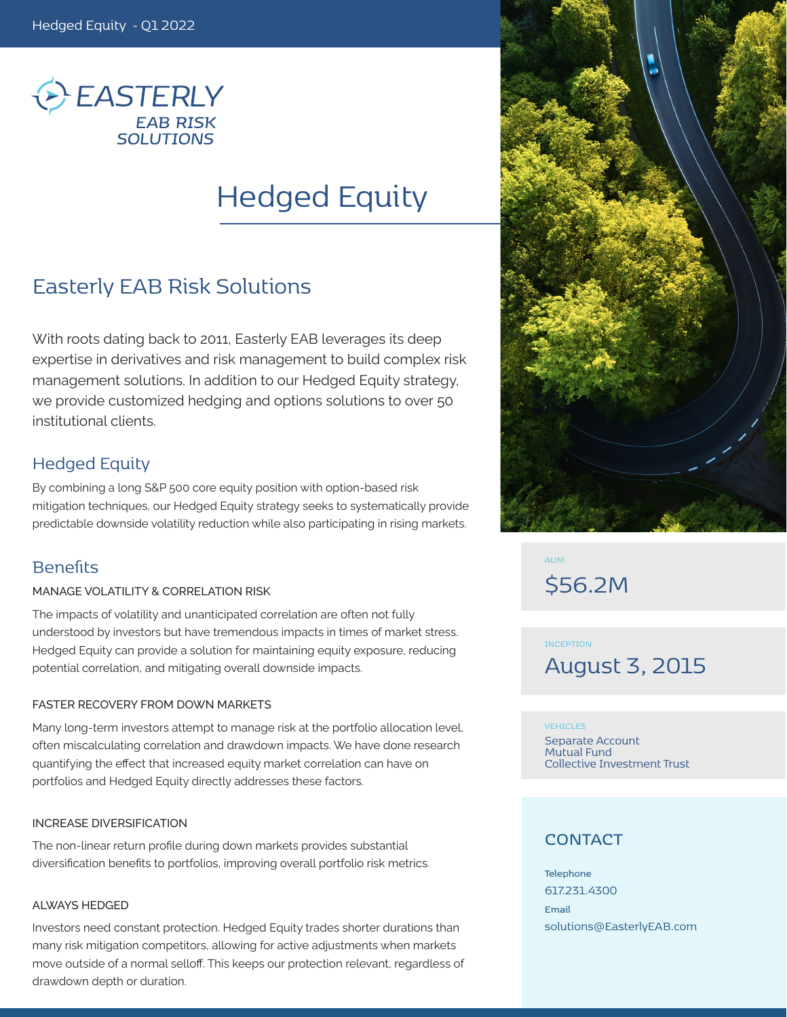

# Hedged Equity

## Easterly EAB Risk Solutions

With roots dating back to 2011, Easterly EAB leverages its deep expertise in derivatives and risk management to build complex risk management solutions. In addition to our Hedged Equity strategy, we provide customized hedging and options solutions to over 50 institutional clients.

## Hedged Equity

By combining a long S&P 500 core equity position with option-based risk mitigation techniques, our Hedged Equity strategy seeks to systematically provide predictable downside volatility reduction while also participating in rising markets.

## **Benefits**

#### MANAGE VOLATILITY & CORRELATION RISK

The impacts of volatility and unanticipated correlation are often not fully understood by investors but have tremendous impacts in times of market stress. Hedged Equity can provide a solution for maintaining equity exposure, reducing potential correlation, and mitigating overall downside impacts.

#### FASTER RECOVERY FROM DOWN MARKETS

Many long-term investors attempt to manage risk at the portfolio allocation level, often miscalculating correlation and drawdown impacts. We have done research quantifying the effect that increased equity market correlation can have on portfolios and Hedged Equity directly addresses these factors.

#### INCREASE DIVERSIFICATION

The non-linear return profile during down markets provides substantial diversification benefits to portfolios, improving overall portfolio risk metrics.

#### ALWAYS HEDGED

Investors need constant protection. Hedged Equity trades shorter durations than many risk mitigation competitors, allowing for active adjustments when markets move outside of a normal selloff. This keeps our protection relevant, regardless of drawdown depth or duration.



**AUM** \$56.2M

**INCEPTION** August 3, 2015

#### **VEHICLES**

Separate Account Mutual Fund Collective Investment Trust

## **CONTACT**

**Telephone** 617.231.4300 **Email** solutions@EasterlyEAB.com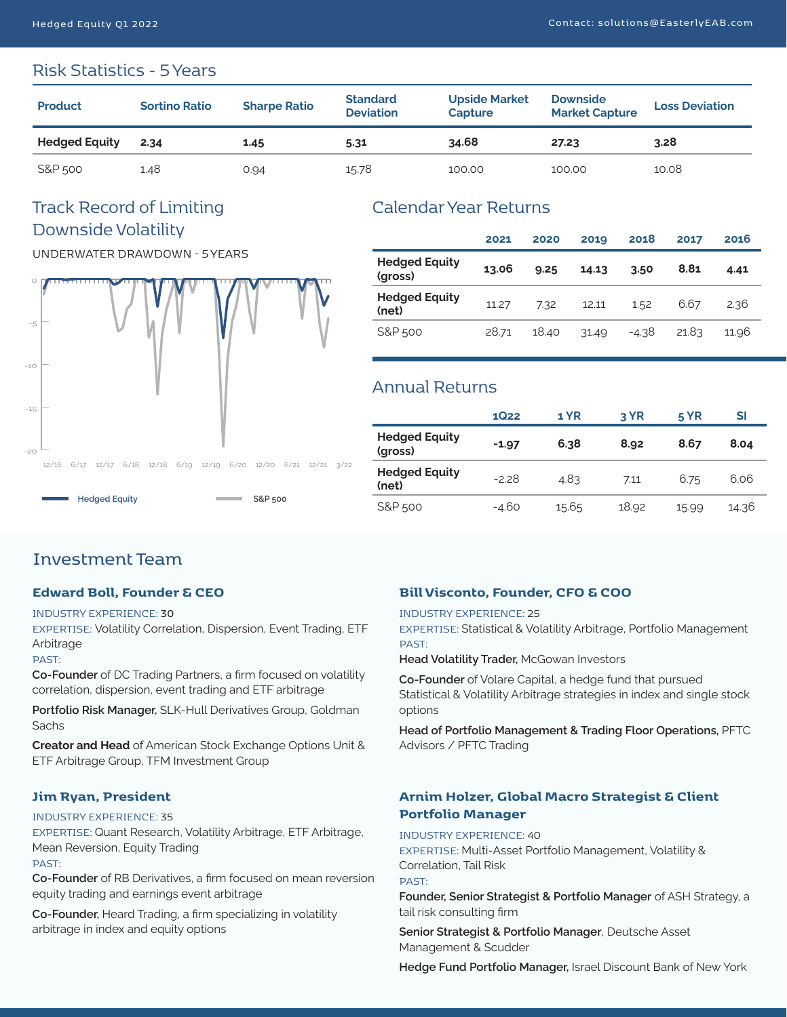## Risk Statistics - 5 Years

| <b>Product</b>       | <b>Sortino Ratio</b> | <b>Sharpe Ratio</b> | <b>Standard</b><br><b>Deviation</b> | <b>Upside Market</b><br>Capture | <b>Downside</b><br><b>Market Capture</b> | <b>Loss Deviation</b> |
|----------------------|----------------------|---------------------|-------------------------------------|---------------------------------|------------------------------------------|-----------------------|
| <b>Hedged Equity</b> | 2.34                 | 1.45                | 5.31                                | 34.68                           | 27.23                                    | 3.28                  |
| S&P 500              | 1.48                 | 0.94                | 15.78                               | 100.00                          | 100.00                                   | 10.08                 |

## Track Record of Limiting Downside Volatility

UNDERWATER DRAWDOWN - 5 YEARS



## Calendar Year Returns

|                                 | 2021  | 2020  | 2019  | 2018    | 2017  | 2016  |
|---------------------------------|-------|-------|-------|---------|-------|-------|
| <b>Hedged Equity</b><br>(gross) | 13.06 | 9.25  | 14.13 | 3.50    | 8.81  | 4.41  |
| <b>Hedged Equity</b><br>(net)   | 11.27 | 7.32  | 12.11 | 1.52    | 6.67  | 2.36  |
| S&P 500                         | 28.71 | 18.40 | 31.49 | $-4.38$ | 21.83 | 11.96 |

## Annual Returns

|                                 | <b>1Q22</b> | 1 YR  | 3 YR  | 5 YR  | SI    |
|---------------------------------|-------------|-------|-------|-------|-------|
| <b>Hedged Equity</b><br>(gross) | $-1.97$     | 6.38  | 8.92  | 8.67  | 8.04  |
| <b>Hedged Equity</b><br>(net)   | $-2.28$     | 4.83  | 7.11  | 6.75  | 6.06  |
| S&P 500                         | -4.60       | 15.65 | 18.92 | 15.99 | 14.36 |

## **Investment Team**

### **Edward Boll, Founder & CEO**

#### INDUSTRY EXPERIENCE: **30**

EXPERTISE: Volatility Correlation, Dispersion, Event Trading, ETF Arbitrage

#### PAST:

**Co-Founder** of DC Trading Partners, a firm focused on volatility correlation, dispersion, event trading and ETF arbitrage

**Portfolio Risk Manager,** SLK-Hull Derivatives Group, Goldman Sachs

**Creator and Head** of American Stock Exchange Options Unit & ETF Arbitrage Group, TFM Investment Group

#### **Jim Ryan, President**

#### INDUSTRY EXPERIENCE: 35

EXPERTISE: Quant Research, Volatility Arbitrage, ETF Arbitrage, Mean Reversion, Equity Trading PAST:

**Co-Founder** of RB Derivatives, a firm focused on mean reversion equity trading and earnings event arbitrage

**Co-Founder,** Heard Trading, a firm specializing in volatility arbitrage in index and equity options

## **Bill Visconto, Founder, CFO & COO**

#### INDUSTRY EXPERIENCE: 25

EXPERTISE: Statistical & Volatility Arbitrage, Portfolio Management PAST:

**Head Volatility Trader,** McGowan Investors

**Co-Founder** of Volare Capital, a hedge fund that pursued Statistical & Volatility Arbitrage strategies in index and single stock options

**Head of Portfolio Management & Trading Floor Operations,** PFTC Advisors / PFTC Trading

### **Arnim Holzer, Global Macro Strategist & Client Portfolio Manager**

INDUSTRY EXPERIENCE: 40

EXPERTISE: Multi-Asset Portfolio Management, Volatility & Correlation, Tail Risk

PAST:

**Founder, Senior Strategist & Portfolio Manager** of ASH Strategy, a tail risk consulting firm

**Senior Strategist & Portfolio Manager**, Deutsche Asset Management & Scudder

**Hedge Fund Portfolio Manager,** Israel Discount Bank of New York